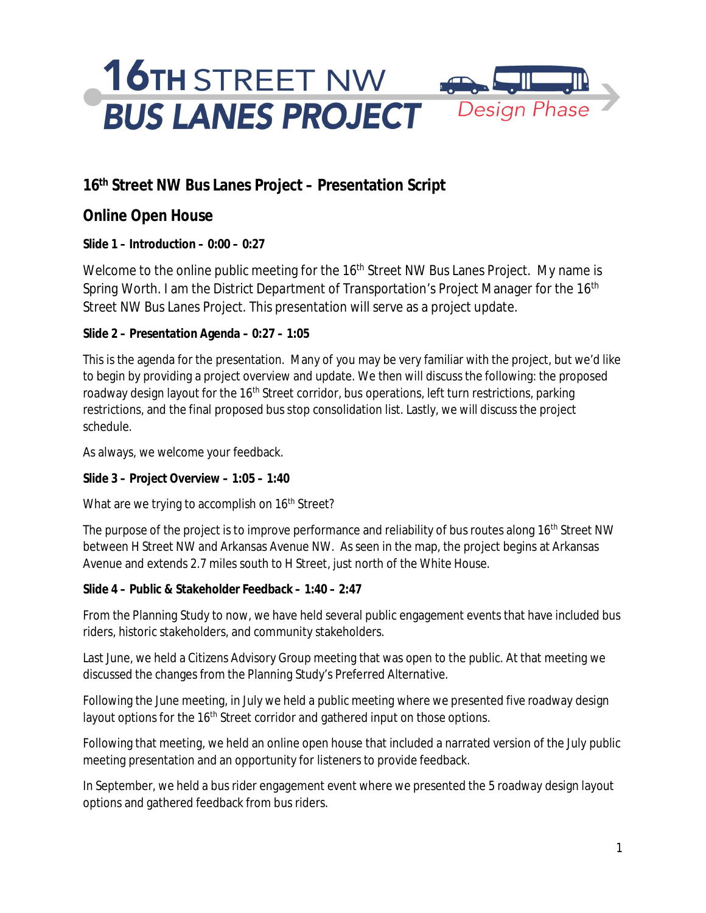#### **16th Street NW Bus Lanes Project – Presentation Script**

**Online Open House**

**Slide 1 – Introduction – 0:00 – 0:27**

Welcome to the online public meeting for the 16<sup>th</sup> Street NW Bus Lanes Project. My name is Spring Worth. I am the District Department of Transportation's Project Manager for the 16<sup>th</sup> Street NW Bus Lanes Project. This presentation will serve as a project update.

**Slide 2 – Presentation Agenda – 0:27 – 1:05**

This is the agenda for the presentation. Many of you may be very familiar with the project, but we'd like to begin by providing a project overview and update. We then will discuss the following: the proposed roadway design layout for the 16<sup>th</sup> Street corridor, bus operations, left turn restrictions, parking restrictions, and the final proposed bus stop consolidation list. Lastly, we will discuss the project schedule.

As always, we welcome your feedback.

**Slide 3 – Project Overview – 1:05 – 1:40**

What are we trying to accomplish on 16<sup>th</sup> Street?

The purpose of the project is to improve performance and reliability of bus routes along 16<sup>th</sup> Street NW between H Street NW and Arkansas Avenue NW. As seen in the map, the project begins at Arkansas Avenue and extends 2.7 miles south to H Street, just north of the White House.

**Slide 4 – Public & Stakeholder Feedback – 1:40 – 2:47**

From the Planning Study to now, we have held several public engagement events that have included bus riders, historic stakeholders, and community stakeholders.

Last June, we held a Citizens Advisory Group meeting that was open to the public. At that meeting we discussed the changes from the Planning Study's Preferred Alternative.

Following the June meeting, in July we held a public meeting where we presented five roadway design layout options for the 16<sup>th</sup> Street corridor and gathered input on those options.

Following that meeting, we held an online open house that included a narrated version of the July public meeting presentation and an opportunity for listeners to provide feedback.

In September, we held a bus rider engagement event where we presented the 5 roadway design layout options and gathered feedback from bus riders.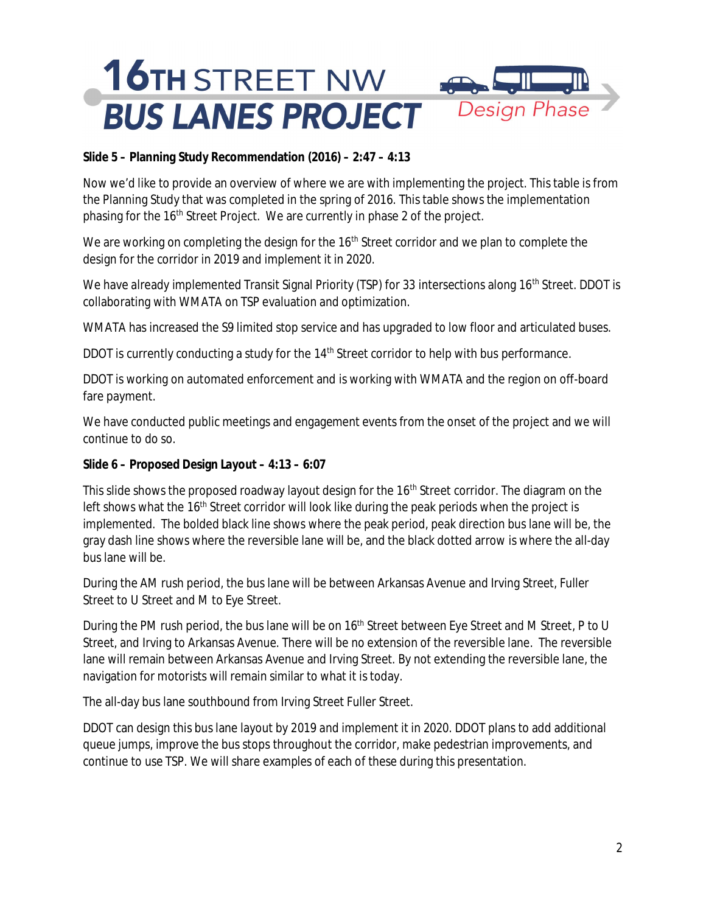**Slide 5 – Planning Study Recommendation (2016) – 2:47 – 4:13**

Now we'd like to provide an overview of where we are with implementing the project. This table is from the Planning Study that was completed in the spring of 2016. This table shows the implementation phasing for the 16<sup>th</sup> Street Project. We are currently in phase 2 of the project.

We are working on completing the design for the 16<sup>th</sup> Street corridor and we plan to complete the design for the corridor in 2019 and implement it in 2020.

We have already implemented Transit Signal Priority (TSP) for 33 intersections along 16<sup>th</sup> Street. DDOT is collaborating with WMATA on TSP evaluation and optimization.

WMATA has increased the S9 limited stop service and has upgraded to low floor and articulated buses.

DDOT is currently conducting a study for the 14<sup>th</sup> Street corridor to help with bus performance.

DDOT is working on automated enforcement and is working with WMATA and the region on off-board fare payment.

We have conducted public meetings and engagement events from the onset of the project and we will continue to do so.

**Slide 6 – Proposed Design Layout – 4:13 – 6:07**

This slide shows the proposed roadway layout design for the 16<sup>th</sup> Street corridor. The diagram on the left shows what the 16<sup>th</sup> Street corridor will look like during the peak periods when the project is implemented. The bolded black line shows where the peak period, peak direction bus lane will be, the gray dash line shows where the reversible lane will be, and the black dotted arrow is where the all-day bus lane will be.

During the AM rush period, the bus lane will be between Arkansas Avenue and Irving Street, Fuller Street to U Street and M to Eye Street.

During the PM rush period, the bus lane will be on 16<sup>th</sup> Street between Eye Street and M Street, P to U Street, and Irving to Arkansas Avenue. There will be no extension of the reversible lane. The reversible lane will remain between Arkansas Avenue and Irving Street. By not extending the reversible lane, the navigation for motorists will remain similar to what it is today.

The all-day bus lane southbound from Irving Street Fuller Street.

DDOT can design this bus lane layout by 2019 and implement it in 2020. DDOT plans to add additional queue jumps, improve the bus stops throughout the corridor, make pedestrian improvements, and continue to use TSP. We will share examples of each of these during this presentation.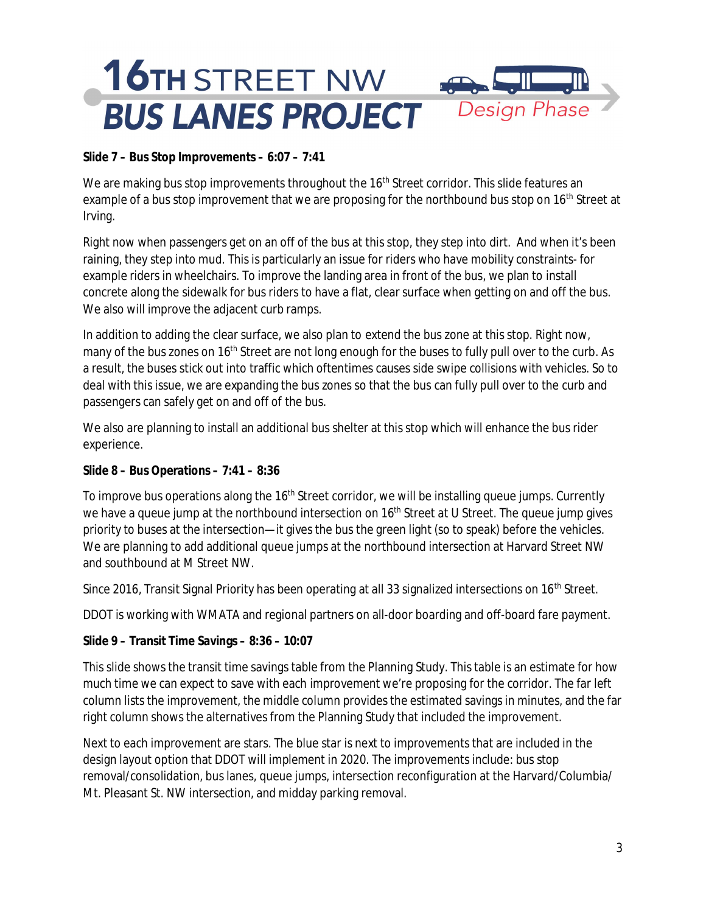**Slide 7 – Bus Stop Improvements – 6:07 – 7:41**

We are making bus stop improvements throughout the 16<sup>th</sup> Street corridor. This slide features an example of a bus stop improvement that we are proposing for the northbound bus stop on 16<sup>th</sup> Street at Irving.

Right now when passengers get on an off of the bus at this stop, they step into dirt. And when it's been raining, they step into mud. This is particularly an issue for riders who have mobility constraints- for example riders in wheelchairs. To improve the landing area in front of the bus, we plan to install concrete along the sidewalk for bus riders to have a flat, clear surface when getting on and off the bus. We also will improve the adjacent curb ramps.

In addition to adding the clear surface, we also plan to extend the bus zone at this stop. Right now, many of the bus zones on  $16<sup>th</sup>$  Street are not long enough for the buses to fully pull over to the curb. As a result, the buses stick out into traffic which oftentimes causes side swipe collisions with vehicles. So to deal with this issue, we are expanding the bus zones so that the bus can fully pull over to the curb and passengers can safely get on and off of the bus.

We also are planning to install an additional bus shelter at this stop which will enhance the bus rider experience.

**Slide 8 – Bus Operations – 7:41 – 8:36**

To improve bus operations along the 16<sup>th</sup> Street corridor, we will be installing queue jumps. Currently we have a queue jump at the northbound intersection on 16<sup>th</sup> Street at U Street. The queue jump gives priority to buses at the intersection—it gives the bus the green light (so to speak) before the vehicles. We are planning to add additional queue jumps at the northbound intersection at Harvard Street NW and southbound at M Street NW.

Since 2016, Transit Signal Priority has been operating at all 33 signalized intersections on 16<sup>th</sup> Street.

DDOT is working with WMATA and regional partners on all-door boarding and off-board fare payment.

**Slide 9 – Transit Time Savings – 8:36 – 10:07**

This slide shows the transit time savings table from the Planning Study. This table is an estimate for how much time we can expect to save with each improvement we're proposing for the corridor. The far left column lists the improvement, the middle column provides the estimated savings in minutes, and the far right column shows the alternatives from the Planning Study that included the improvement.

Next to each improvement are stars. The blue star is next to improvements that are included in the design layout option that DDOT will implement in 2020. The improvements include: bus stop removal/consolidation, bus lanes, queue jumps, intersection reconfiguration at the Harvard/Columbia/ Mt. Pleasant St. NW intersection, and midday parking removal.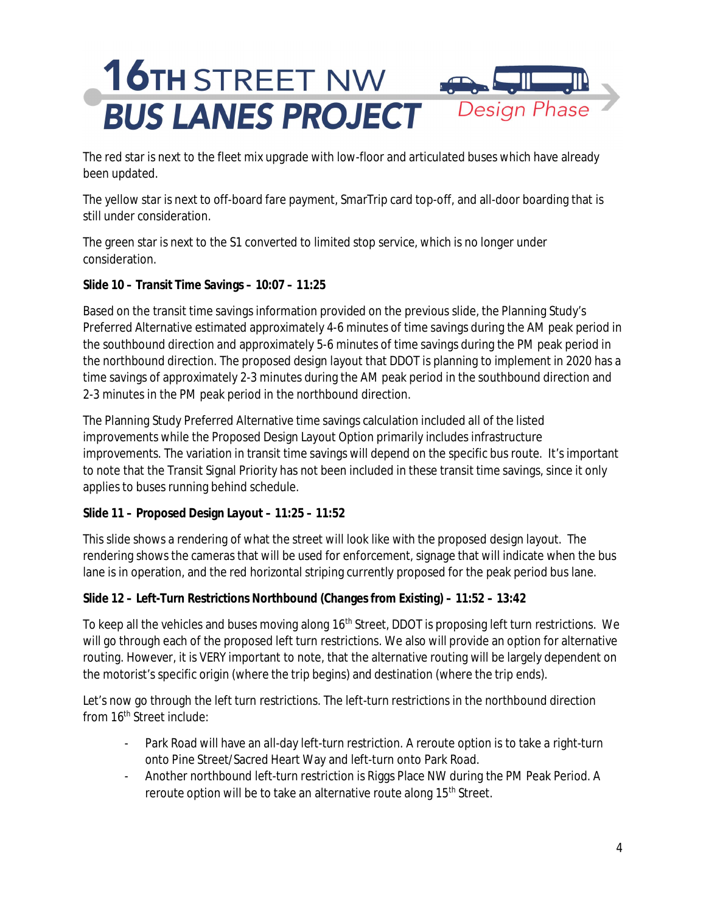# **16TH STREET NW BUS LANES PROJECT** Design Phase

The red star is next to the fleet mix upgrade with low-floor and articulated buses which have already been updated.

The yellow star is next to off-board fare payment, SmarTrip card top-off, and all-door boarding that is still under consideration.

The green star is next to the S1 converted to limited stop service, which is no longer under consideration.

**Slide 10 – Transit Time Savings – 10:07 – 11:25**

Based on the transit time savings information provided on the previous slide, the Planning Study's Preferred Alternative estimated approximately 4-6 minutes of time savings during the AM peak period in the southbound direction and approximately 5-6 minutes of time savings during the PM peak period in the northbound direction. The proposed design layout that DDOT is planning to implement in 2020 has a time savings of approximately 2-3 minutes during the AM peak period in the southbound direction and 2-3 minutes in the PM peak period in the northbound direction.

The Planning Study Preferred Alternative time savings calculation included all of the listed improvements while the Proposed Design Layout Option primarily includes infrastructure improvements. The variation in transit time savings will depend on the specific bus route. It's important to note that the Transit Signal Priority has not been included in these transit time savings, since it only applies to buses running behind schedule.

**Slide 11 – Proposed Design Layout – 11:25 – 11:52**

This slide shows a rendering of what the street will look like with the proposed design layout. The rendering shows the cameras that will be used for enforcement, signage that will indicate when the bus lane is in operation, and the red horizontal striping currently proposed for the peak period bus lane.

**Slide 12 – Left-Turn Restrictions Northbound (Changes from Existing) – 11:52 – 13:42**

To keep all the vehicles and buses moving along 16<sup>th</sup> Street, DDOT is proposing left turn restrictions. We will go through each of the proposed left turn restrictions. We also will provide an option for alternative routing. However, it is VERY important to note, that the alternative routing will be largely dependent on the motorist's specific origin (where the trip begins) and destination (where the trip ends).

Let's now go through the left turn restrictions. The left-turn restrictions in the northbound direction from 16<sup>th</sup> Street include:

- Park Road will have an all-day left-turn restriction. A reroute option is to take a right-turn onto Pine Street/Sacred Heart Way and left-turn onto Park Road.
- Another northbound left-turn restriction is Riggs Place NW during the PM Peak Period. A reroute option will be to take an alternative route along 15<sup>th</sup> Street.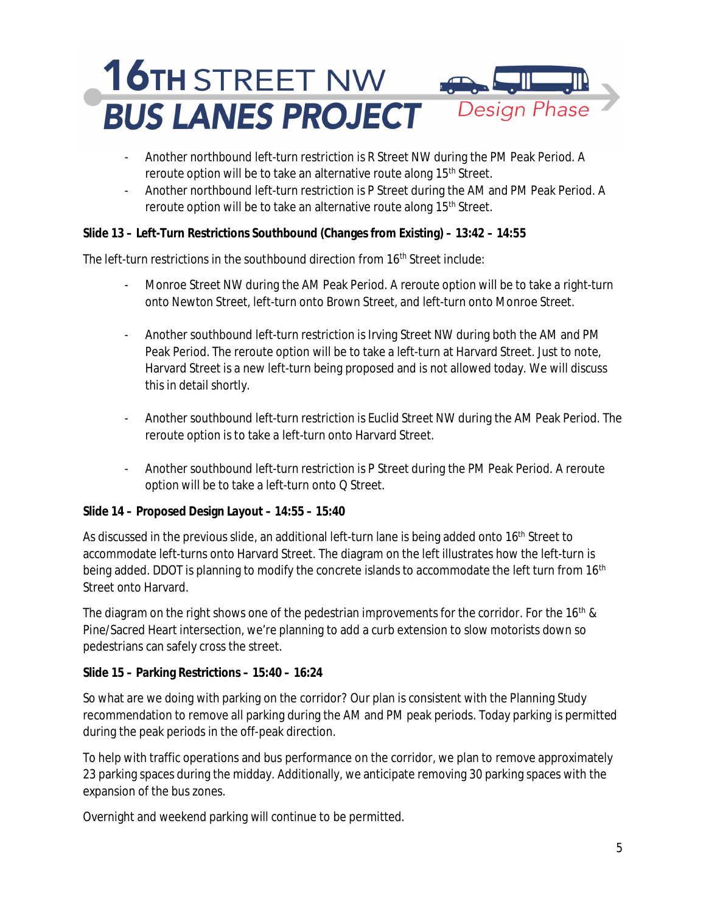- Another northbound left-turn restriction is R Street NW during the PM Peak Period. A reroute option will be to take an alternative route along 15<sup>th</sup> Street.
- Another northbound left-turn restriction is P Street during the AM and PM Peak Period. A reroute option will be to take an alternative route along 15<sup>th</sup> Street.

**Slide 13 – Left-Turn Restrictions Southbound (Changes from Existing) – 13:42 – 14:55**

The left-turn restrictions in the southbound direction from 16<sup>th</sup> Street include:

- Monroe Street NW during the AM Peak Period. A reroute option will be to take a right-turn onto Newton Street, left-turn onto Brown Street, and left-turn onto Monroe Street.
- Another southbound left-turn restriction is Irving Street NW during both the AM and PM Peak Period. The reroute option will be to take a left-turn at Harvard Street. Just to note, Harvard Street is a new left-turn being proposed and is not allowed today. We will discuss this in detail shortly.
- Another southbound left-turn restriction is Euclid Street NW during the AM Peak Period. The reroute option is to take a left-turn onto Harvard Street.
- Another southbound left-turn restriction is P Street during the PM Peak Period. A reroute option will be to take a left-turn onto Q Street.

**Slide 14 – Proposed Design Layout – 14:55 – 15:40**

As discussed in the previous slide, an additional left-turn lane is being added onto 16<sup>th</sup> Street to accommodate left-turns onto Harvard Street. The diagram on the left illustrates how the left-turn is being added. DDOT is planning to modify the concrete islands to accommodate the left turn from 16<sup>th</sup> Street onto Harvard.

The diagram on the right shows one of the pedestrian improvements for the corridor. For the 16<sup>th</sup> & Pine/Sacred Heart intersection, we're planning to add a curb extension to slow motorists down so pedestrians can safely cross the street.

**Slide 15 – Parking Restrictions – 15:40 – 16:24**

So what are we doing with parking on the corridor? Our plan is consistent with the Planning Study recommendation to remove all parking during the AM and PM peak periods. Today parking is permitted during the peak periods in the off-peak direction.

To help with traffic operations and bus performance on the corridor, we plan to remove approximately 23 parking spaces during the midday. Additionally, we anticipate removing 30 parking spaces with the expansion of the bus zones.

Overnight and weekend parking will continue to be permitted.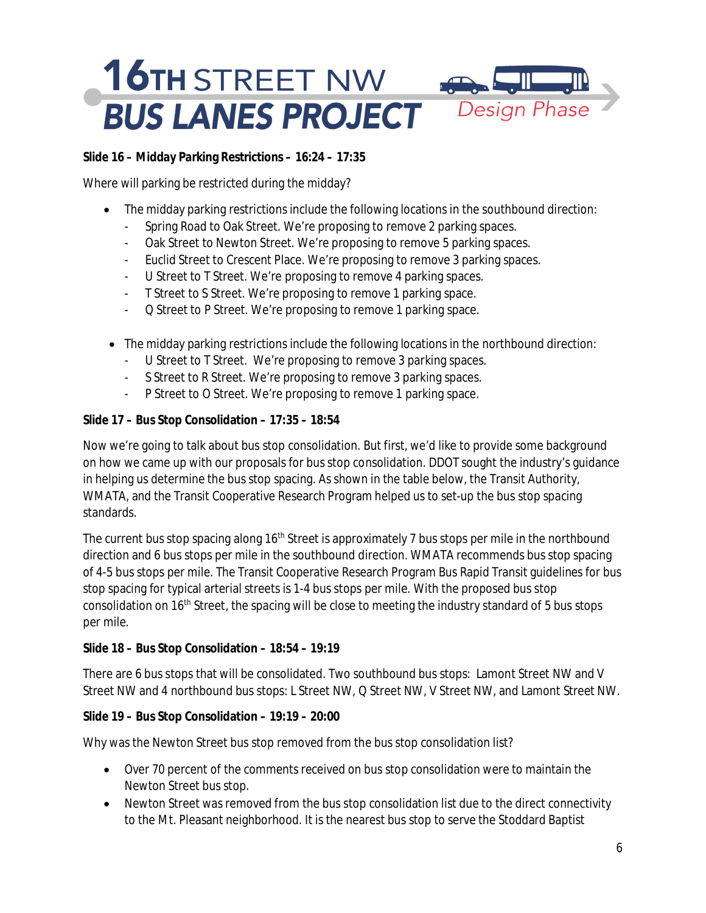**Slide 16 – Midday Parking Restrictions – 16:24 – 17:35**

Where will parking be restricted during the midday?

- · The midday parking restrictions include the following locations in the southbound direction:
	- Spring Road to Oak Street. We're proposing to remove 2 parking spaces.
	- Oak Street to Newton Street. We're proposing to remove 5 parking spaces.
	- Euclid Street to Crescent Place. We're proposing to remove 3 parking spaces.
	- U Street to T Street. We're proposing to remove 4 parking spaces.
	- T Street to S Street. We're proposing to remove 1 parking space.
	- Q Street to P Street. We're proposing to remove 1 parking space.
- · The midday parking restrictions include the following locations in the northbound direction:
	- U Street to T Street. We're proposing to remove 3 parking spaces.
	- S Street to R Street. We're proposing to remove 3 parking spaces.
	- P Street to O Street. We're proposing to remove 1 parking space.

**Slide 17 – Bus Stop Consolidation – 17:35 – 18:54**

Now we're going to talk about bus stop consolidation. But first, we'd like to provide some background on how we came up with our proposals for bus stop consolidation. DDOT sought the industry's guidance in helping us determine the bus stop spacing. As shown in the table below, the Transit Authority, WMATA, and the Transit Cooperative Research Program helped us to set-up the bus stop spacing standards.

The current bus stop spacing along 16<sup>th</sup> Street is approximately 7 bus stops per mile in the northbound direction and 6 bus stops per mile in the southbound direction. WMATA recommends bus stop spacing of 4-5 bus stops per mile. The Transit Cooperative Research Program Bus Rapid Transit guidelines for bus stop spacing for typical arterial streets is 1-4 bus stops per mile. With the proposed bus stop consolidation on  $16<sup>th</sup>$  Street, the spacing will be close to meeting the industry standard of 5 bus stops per mile.

**Slide 18 – Bus Stop Consolidation – 18:54 – 19:19**

There are 6 bus stops that will be consolidated. Two southbound bus stops: Lamont Street NW and V Street NW and 4 northbound bus stops: L Street NW, Q Street NW, V Street NW, and Lamont Street NW.

**Slide 19 – Bus Stop Consolidation – 19:19 – 20:00**

Why was the Newton Street bus stop removed from the bus stop consolidation list?

- · Over 70 percent of the comments received on bus stop consolidation were to maintain the Newton Street bus stop.
- · Newton Street was removed from the bus stop consolidation list due to the direct connectivity to the Mt. Pleasant neighborhood. It is the nearest bus stop to serve the Stoddard Baptist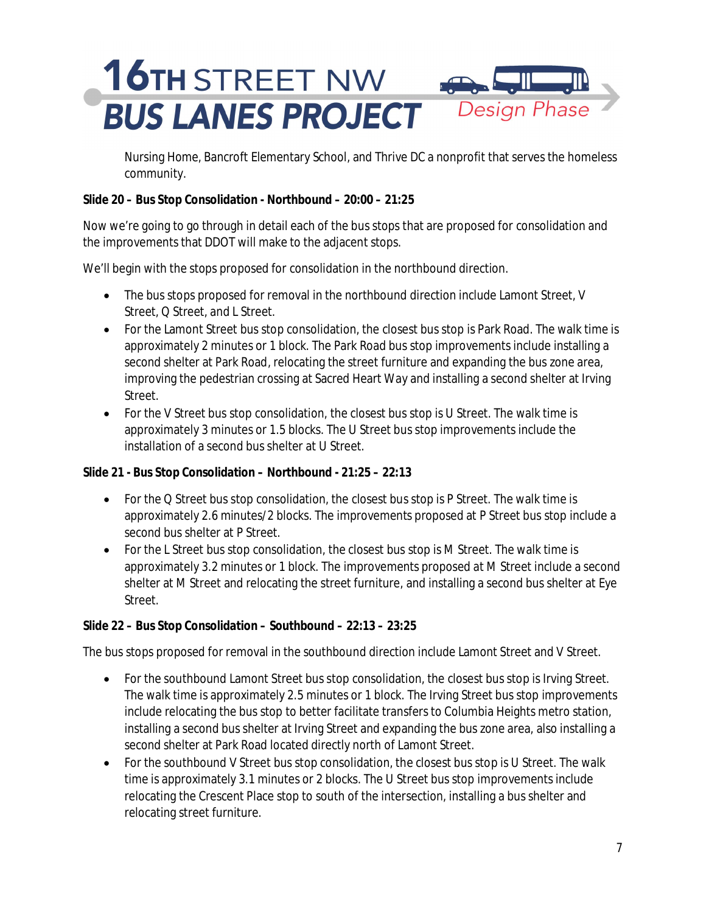Nursing Home, Bancroft Elementary School, and Thrive DC a nonprofit that serves the homeless community.

**Slide 20 – Bus Stop Consolidation - Northbound – 20:00 – 21:25**

Now we're going to go through in detail each of the bus stops that are proposed for consolidation and the improvements that DDOT will make to the adjacent stops.

We'll begin with the stops proposed for consolidation in the northbound direction.

- The bus stops proposed for removal in the northbound direction include Lamont Street, V Street, Q Street, and L Street.
- · For the Lamont Street bus stop consolidation, the closest bus stop is Park Road. The walk time is approximately 2 minutes or 1 block. The Park Road bus stop improvements include installing a second shelter at Park Road, relocating the street furniture and expanding the bus zone area, improving the pedestrian crossing at Sacred Heart Way and installing a second shelter at Irving Street.
- For the V Street bus stop consolidation, the closest bus stop is U Street. The walk time is approximately 3 minutes or 1.5 blocks. The U Street bus stop improvements include the installation of a second bus shelter at U Street.

**Slide 21 - Bus Stop Consolidation – Northbound - 21:25 – 22:13**

- · For the Q Street bus stop consolidation, the closest bus stop is P Street. The walk time is approximately 2.6 minutes/2 blocks. The improvements proposed at P Street bus stop include a second bus shelter at P Street.
- · For the L Street bus stop consolidation, the closest bus stop is M Street. The walk time is approximately 3.2 minutes or 1 block. The improvements proposed at M Street include a second shelter at M Street and relocating the street furniture, and installing a second bus shelter at Eye Street.

#### **Slide 22 – Bus Stop Consolidation – Southbound – 22:13 – 23:25**

The bus stops proposed for removal in the southbound direction include Lamont Street and V Street.

- · For the southbound Lamont Street bus stop consolidation, the closest bus stop is Irving Street. The walk time is approximately 2.5 minutes or 1 block. The Irving Street bus stop improvements include relocating the bus stop to better facilitate transfers to Columbia Heights metro station, installing a second bus shelter at Irving Street and expanding the bus zone area, also installing a second shelter at Park Road located directly north of Lamont Street.
- · For the southbound V Street bus stop consolidation, the closest bus stop is U Street. The walk time is approximately 3.1 minutes or 2 blocks. The U Street bus stop improvements include relocating the Crescent Place stop to south of the intersection, installing a bus shelter and relocating street furniture.